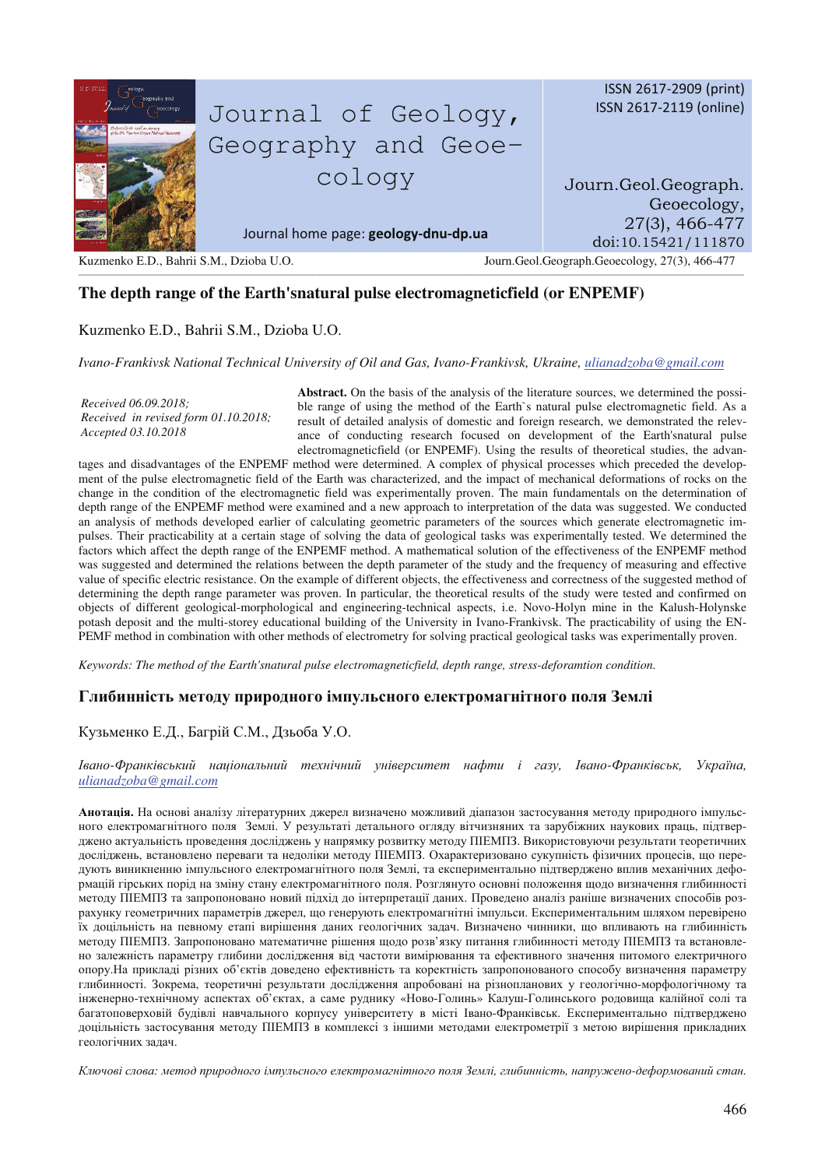

# **The depth range of the Earth'snatural pulse electromagneticfield (or ENPEMF)**

## Kuzmenko E.D., Bahrii S.M., Dzioba U.O.

#### *Ivano-Frankivsk National Technical University of Oil and Gas, Ivano-Frankivsk, Ukraine, ulianadzoba@gmail.com*

*Received 06.09.2018; Received in revised form 01.10.2018; Accepted 03.10.2018* 

**Abstract.** On the basis of the analysis of the literature sources, we determined the possible range of using the method of the Earth`s natural pulse electromagnetic field. As a result of detailed analysis of domestic and foreign research, we demonstrated the relevance of conducting research focused on development of the Earth'snatural pulse electromagneticfield (or ENPEMF). Using the results of theoretical studies, the advan-

tages and disadvantages of the ENPEMF method were determined. A complex of physical processes which preceded the development of the pulse electromagnetic field of the Earth was characterized, and the impact of mechanical deformations of rocks on the change in the condition of the electromagnetic field was experimentally proven. The main fundamentals on the determination of depth range of the ENPEMF method were examined and a new approach to interpretation of the data was suggested. We conducted an analysis of methods developed earlier of calculating geometric parameters of the sources which generate electromagnetic impulses. Their practicability at a certain stage of solving the data of geological tasks was experimentally tested. We determined the factors which affect the depth range of the ENPEMF method. A mathematical solution of the effectiveness of the ENPEMF method was suggested and determined the relations between the depth parameter of the study and the frequency of measuring and effective value of specific electric resistance. On the example of different objects, the effectiveness and correctness of the suggested method of determining the depth range parameter was proven. In particular, the theoretical results of the study were tested and confirmed on objects of different geological-morphological and engineering-technical aspects, i.e. Novo-Holyn mine in the Kalush-Holynske potash deposit and the multi-storey educational building of the University in Ivano-Frankivsk. The practicability of using the EN-PEMF method in combination with other methods of electrometry for solving practical geological tasks was experimentally proven.

*Keywords: The method of the Earth'snatural pulse electromagneticfield, depth range, stress-deforamtion condition.* 

## $\Gamma$ либинність методу природного імпульсного електромагнітного поля Землі

### Кузьменко Е.Д., Багрій С.М., Дзьоба У.О.

Iвано-Франківський національний технічний університет нафти і газу, Івано-Франківськ, Україна, *ulianadzoba@gmail.com*

Анотація. На основі аналізу літературних джерел визначено можливий діапазон застосування методу природного імпульсного електромагнітного поля Землі. У результаті детального огляду вітчизняних та зарубіжних наукових праць, підтверджено актуальність проведення досліджень у напрямку розвитку методу ПІЕМПЗ. Використовуючи результати теоретичних досліджень, встановлено переваги та недоліки методу ПІЕМПЗ. Охарактеризовано сукупність фізичних процесів, що передують виникненню імпульсного електромагнітного поля Землі, та експериментально підтверджено вплив механічних деформацій гірських порід на зміну стану електромагнітного поля. Розглянуто основні положення щодо визначення глибинності методу ПІЕМПЗ та запропоновано новий підхід до інтерпретації даних. Проведено аналіз раніше визначених способів розрахунку геометричних параметрів джерел, що генерують електромагнітні імпульси. Експериментальним шляхом перевірено їх доцільність на певному етапі вирішення даних геологічних задач. Визначено чинники, що впливають на глибинність методу ПІЕМПЗ. Запропоновано математичне рішення щодо розв'язку питання глибинності методу ПІЕМПЗ та встановлено залежність параметру глибини дослідження від частоти вимірювання та ефективного значення питомого електричного опору.На прикладі різних об'єктів доведено ефективність та коректність запропонованого способу визначення параметру глибинності. Зокрема, теоретичні результати дослідження апробовані на різнопланових у геологічно-морфологічному та інженерно-технічному аспектах об'єктах, а саме руднику «Ново-Голинь» Калуш-Голинського родовища калійної солі та багатоповерховій будівлі навчального корпусу університету в місті Івано-Франківськ. Експериментально підтверджено доцільність застосування методу ПІЕМПЗ в комплексі з іншими методами електрометрії з метою вирішення прикладних геологічних задач.

Ключові слова: метод природного імпульсного електромагнітного поля Землі, глибинність, напружено-деформований стан.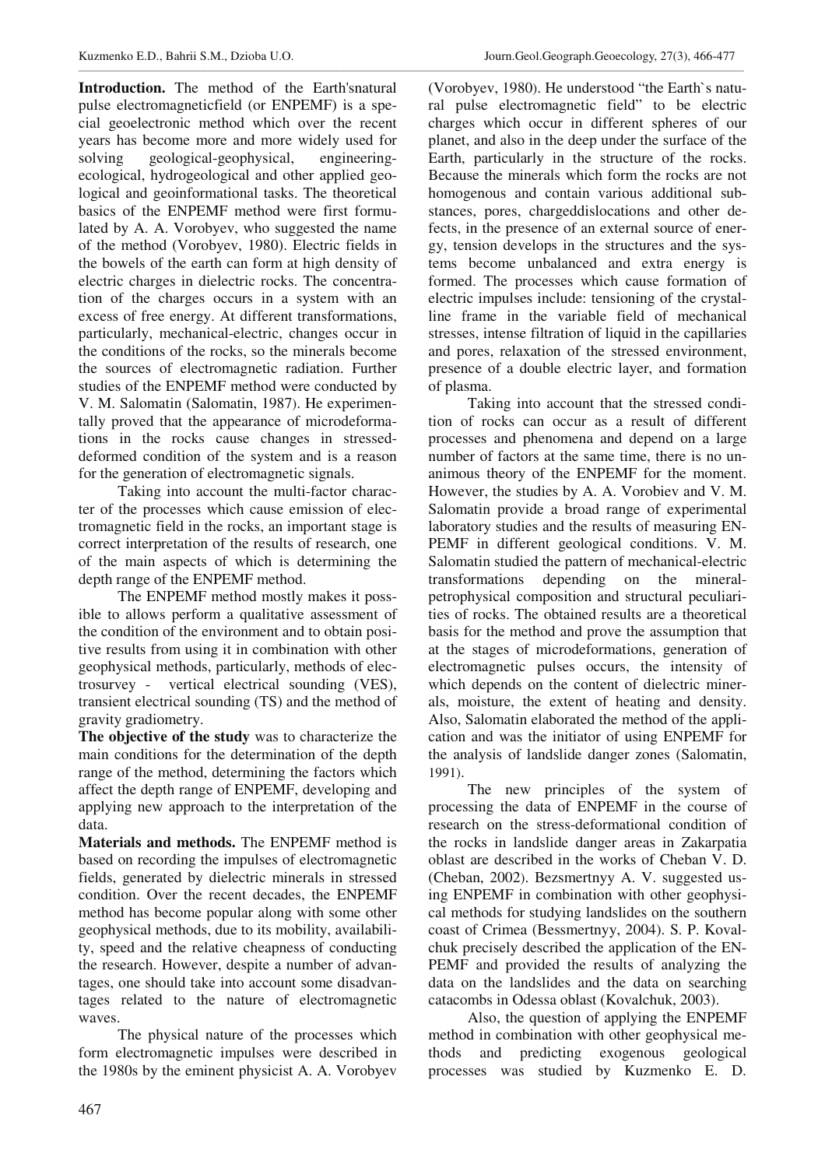**Introduction.** The method of the Earth'snatural pulse electromagneticfield (or ENPEMF) is a special geoelectronic method which over the recent years has become more and more widely used for solving geological-geophysical, engineeringecological, hydrogeological and other applied geological and geoinformational tasks. The theoretical basics of the ENPEMF method were first formulated by A. A. Vorobyev, who suggested the name of the method (Vorobyev, 1980). Electric fields in the bowels of the earth can form at high density of electric charges in dielectric rocks. The concentration of the charges occurs in a system with an excess of free energy. At different transformations, particularly, mechanical-electric, changes occur in the conditions of the rocks, so the minerals become the sources of electromagnetic radiation. Further studies of the ENPEMF method were conducted by V. M. Salomatin (Salomatin, 1987). He experimentally proved that the appearance of microdeformations in the rocks cause changes in stresseddeformed condition of the system and is a reason for the generation of electromagnetic signals.

Taking into account the multi-factor character of the processes which cause emission of electromagnetic field in the rocks, an important stage is correct interpretation of the results of research, one of the main aspects of which is determining the depth range of the ENPEMF method.

The ENPEMF method mostly makes it possible to allows perform a qualitative assessment of the condition of the environment and to obtain positive results from using it in combination with other geophysical methods, particularly, methods of electrosurvey - vertical electrical sounding (VES), transient electrical sounding (TS) and the method of gravity gradiometry.

**The objective of the study** was to characterize the main conditions for the determination of the depth range of the method, determining the factors which affect the depth range of ENPEMF, developing and applying new approach to the interpretation of the data.

**Materials and methods.** The ENPEMF method is based on recording the impulses of electromagnetic fields, generated by dielectric minerals in stressed condition. Over the recent decades, the ENPEMF method has become popular along with some other geophysical methods, due to its mobility, availability, speed and the relative cheapness of conducting the research. However, despite a number of advantages, one should take into account some disadvantages related to the nature of electromagnetic waves.

The physical nature of the processes which form electromagnetic impulses were described in the 1980s by the eminent physicist A. A. Vorobyev

(Vorobyev, 1980). He understood "the Earth`s natural pulse electromagnetic field" to be electric charges which occur in different spheres of our planet, and also in the deep under the surface of the Earth, particularly in the structure of the rocks. Because the minerals which form the rocks are not homogenous and contain various additional substances, pores, chargeddislocations and other defects, in the presence of an external source of energy, tension develops in the structures and the systems become unbalanced and extra energy is formed. The processes which cause formation of electric impulses include: tensioning of the crystalline frame in the variable field of mechanical stresses, intense filtration of liquid in the capillaries and pores, relaxation of the stressed environment, presence of a double electric layer, and formation of plasma.

Taking into account that the stressed condition of rocks can occur as a result of different processes and phenomena and depend on a large number of factors at the same time, there is no unanimous theory of the ENPEMF for the moment. However, the studies by A. A. Vorobiev and V. M. Salomatin provide a broad range of experimental laboratory studies and the results of measuring EN-PEMF in different geological conditions. V. M. Salomatin studied the pattern of mechanical-electric transformations depending on the mineralpetrophysical composition and structural peculiarities of rocks. The obtained results are a theoretical basis for the method and prove the assumption that at the stages of microdeformations, generation of electromagnetic pulses occurs, the intensity of which depends on the content of dielectric minerals, moisture, the extent of heating and density. Also, Salomatin elaborated the method of the application and was the initiator of using ENPEMF for the analysis of landslide danger zones (Salomatin, 1991).

The new principles of the system of processing the data of ENPEMF in the course of research on the stress-deformational condition of the rocks in landslide danger areas in Zakarpatia oblast are described in the works of Cheban V. D. (Cheban, 2002). Bezsmertnyy A. V. suggested using ENPEMF in combination with other geophysical methods for studying landslides on the southern coast of Crimea (Bessmertnyy, 2004). S. P. Kovalchuk precisely described the application of the EN-PEMF and provided the results of analyzing the data on the landslides and the data on searching catacombs in Odessa oblast (Kovalchuk, 2003).

Also, the question of applying the ENPEMF method in combination with other geophysical methods and predicting exogenous geological processes was studied by Kuzmenko E. D.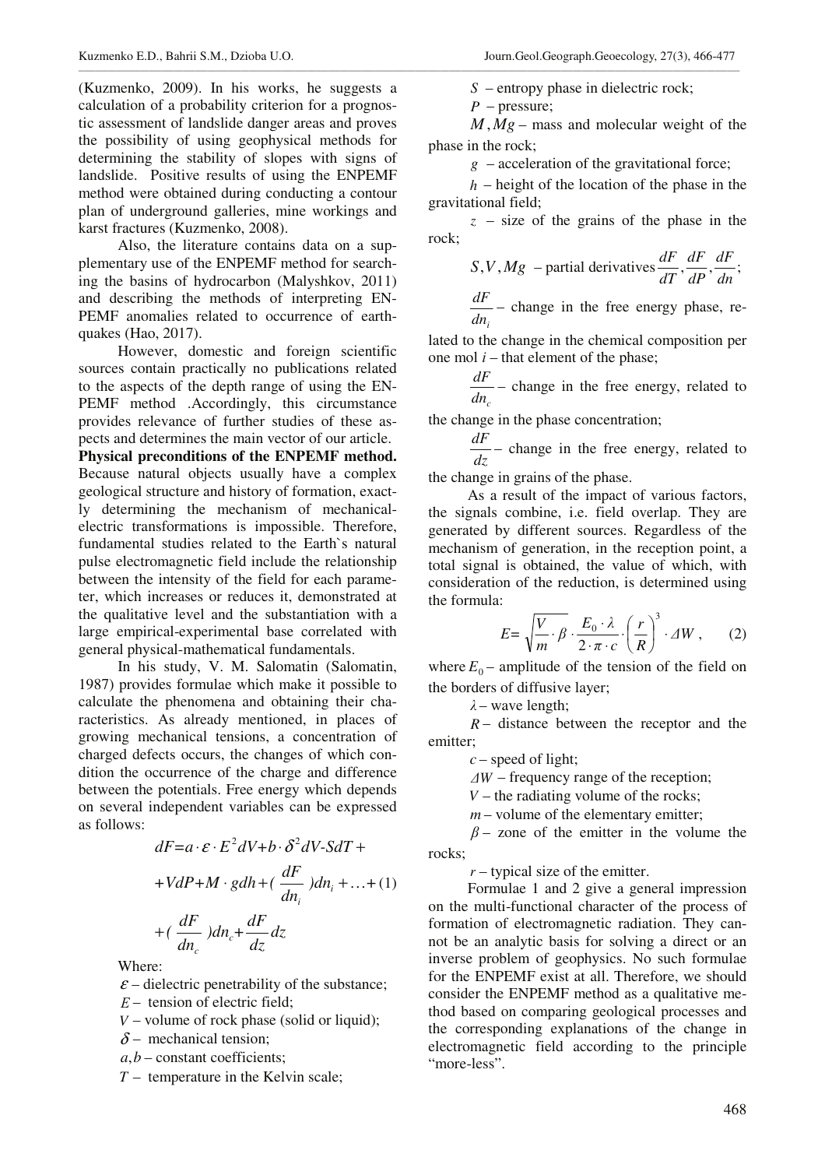(Kuzmenko, 2009). In his works, he suggests a calculation of a probability criterion for a prognostic assessment of landslide danger areas and proves the possibility of using geophysical methods for determining the stability of slopes with signs of landslide. Positive results of using the ENPEMF method were obtained during conducting a contour plan of underground galleries, mine workings and karst fractures (Kuzmenko, 2008).

Also, the literature contains data on a supplementary use of the ENPEMF method for searching the basins of hydrocarbon (Malyshkov, 2011) and describing the methods of interpreting EN-PEMF anomalies related to occurrence of earthquakes (Hao, 2017).

However, domestic and foreign scientific sources contain practically no publications related to the aspects of the depth range of using the EN-PEMF method .Accordingly, this circumstance provides relevance of further studies of these aspects and determines the main vector of our article. **Physical preconditions of the ENPEMF method.**

Because natural objects usually have a complex geological structure and history of formation, exactly determining the mechanism of mechanicalelectric transformations is impossible. Therefore, fundamental studies related to the Earth`s natural pulse electromagnetic field include the relationship between the intensity of the field for each parameter, which increases or reduces it, demonstrated at the qualitative level and the substantiation with a large empirical-experimental base correlated with general physical-mathematical fundamentals.

In his study, V. M. Salomatin (Salomatin, 1987) provides formulae which make it possible to calculate the phenomena and obtaining their characteristics. As already mentioned, in places of growing mechanical tensions, a concentration of charged defects occurs, the changes of which condition the occurrence of the charge and difference between the potentials. Free energy which depends on several independent variables can be expressed as follows:

$$
dF = a \cdot \varepsilon \cdot E^2 dV + b \cdot \delta^2 dV - SdT +
$$
  
+VdP + M \cdot gdh + (\frac{dF}{dn\_i})dn\_i + ... + (1)  
+ (\frac{dF}{dn\_c})dn\_c + \frac{dF}{dz}dz

Where:

 $\epsilon$  – dielectric penetrability of the substance:

- *F* tension of electric field;
- *V* volume of rock phase (solid or liquid);
- $\delta$  mechanical tension;
- $a,b$  constant coefficients;
- *T* temperature in the Kelvin scale;

*S* – entropy phase in dielectric rock;

*P* – pressure;

\_\_\_\_\_\_\_\_\_\_\_\_\_\_\_\_\_\_\_\_\_\_\_\_\_\_\_\_\_\_\_\_\_\_\_\_\_\_\_\_\_\_\_\_\_\_\_\_\_\_\_\_\_\_\_\_\_\_\_\_\_\_\_\_\_\_\_\_\_\_\_\_\_\_\_\_\_\_\_\_\_\_\_\_\_\_\_\_\_\_\_\_\_\_\_\_\_\_\_\_\_\_\_\_\_\_\_\_\_\_\_\_\_\_\_\_\_\_\_\_\_\_\_\_\_\_\_\_\_\_\_\_\_\_\_\_\_\_\_\_\_\_\_\_\_\_\_\_\_\_\_\_\_\_\_\_\_\_\_

 $M, Mg$  – mass and molecular weight of the phase in the rock;

 $g$  – acceleration of the gravitational force;

*h* – height of the location of the phase in the gravitational field;

*z* – size of the grains of the phase in the rock;

S,V, Mg – partial derivatives 
$$
\frac{dF}{dT}
$$
,  $\frac{dF}{dP}$ ,  $\frac{dF}{dn}$ ;  
 $\frac{dF}{dr}$  - change in the free energy phase, re-

$$
\frac{dE}{dn_i}
$$
 - change in the free energy phase, re-

lated to the change in the chemical composition per one mol  $i$  – that element of the phase;

$$
\frac{dF}{dn_c}
$$
 - change in the free energy, related to

the change in the phase concentration;

*dz*  $\frac{dF}{dt}$  – change in the free energy, related to

the change in grains of the phase.

As a result of the impact of various factors, the signals combine, i.e. field overlap. They are generated by different sources. Regardless of the mechanism of generation, in the reception point, a total signal is obtained, the value of which, with consideration of the reduction, is determined using the formula:

$$
E = \sqrt{\frac{V}{m} \cdot \beta} \cdot \frac{E_0 \cdot \lambda}{2 \cdot \pi \cdot c} \cdot \left(\frac{r}{R}\right)^3 \cdot \Delta W, \qquad (2)
$$

where  $E_0$  – amplitude of the tension of the field on the borders of diffusive layer;

 $\lambda$  – wave length;

*R* – distance between the receptor and the emitter;

*c* – speed of light;

 $\Delta W$  – frequency range of the reception;

 $V$  – the radiating volume of the rocks;

*m* – volume of the elementary emitter;

 $\beta$  – zone of the emitter in the volume the rocks;

*r* – typical size of the emitter.

Formulae 1 and 2 give a general impression on the multi-functional character of the process of formation of electromagnetic radiation. They cannot be an analytic basis for solving a direct or an inverse problem of geophysics. No such formulae for the ENPEMF exist at all. Therefore, we should consider the ENPEMF method as a qualitative method based on comparing geological processes and the corresponding explanations of the change in electromagnetic field according to the principle "more-less".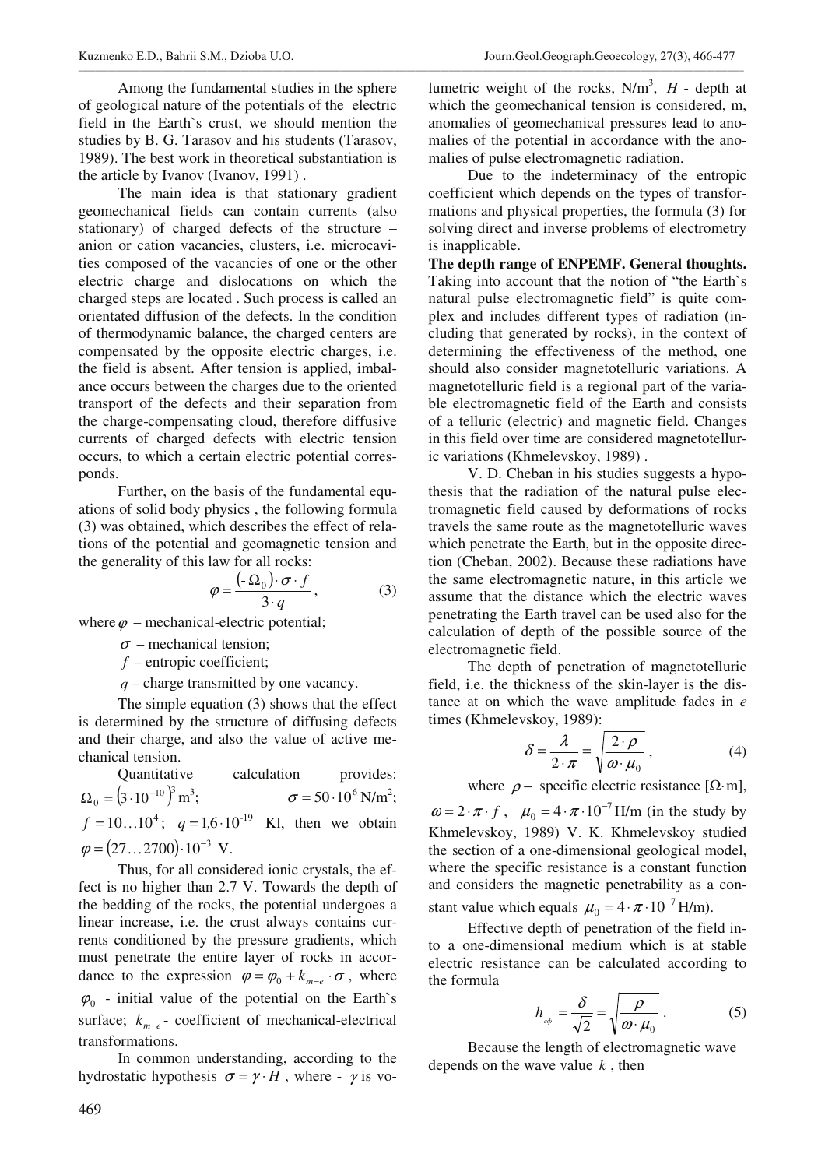Among the fundamental studies in the sphere of geological nature of the potentials of the electric field in the Earth`s crust, we should mention the studies by B. G. Tarasov and his students (Tarasov, 1989). The best work in theoretical substantiation is the article by Ivanov (Ivanov, 1991) .

\_\_\_\_\_\_\_\_\_\_\_\_\_\_\_\_\_\_\_\_\_\_\_\_\_\_\_\_\_\_\_\_\_\_\_\_\_\_\_\_\_\_\_\_\_\_\_\_\_\_\_\_\_\_\_\_\_\_\_\_\_\_\_\_\_\_\_\_\_\_\_\_\_\_\_\_\_\_\_\_\_\_\_\_\_\_\_\_\_\_\_\_\_\_\_\_\_\_\_\_\_\_\_\_\_\_\_\_\_\_\_\_\_\_\_\_\_\_\_\_\_\_\_\_\_\_\_\_\_\_\_\_\_\_\_\_\_\_\_\_\_\_\_\_\_\_\_\_\_\_\_\_\_\_\_\_\_\_\_\_

The main idea is that stationary gradient geomechanical fields can contain currents (also stationary) of charged defects of the structure – anion or cation vacancies, clusters, i.e. microcavities composed of the vacancies of one or the other electric charge and dislocations on which the charged steps are located . Such process is called an orientated diffusion of the defects. In the condition of thermodynamic balance, the charged centers are compensated by the opposite electric charges, i.e. the field is absent. After tension is applied, imbalance occurs between the charges due to the oriented transport of the defects and their separation from the charge-compensating cloud, therefore diffusive currents of charged defects with electric tension occurs, to which a certain electric potential corresponds.

Further, on the basis of the fundamental equations of solid body physics , the following formula (3) was obtained, which describes the effect of relations of the potential and geomagnetic tension and the generality of this law for all rocks:

$$
\varphi = \frac{(-\Omega_0) \cdot \sigma \cdot f}{3 \cdot q},\tag{3}
$$

where  $\varphi$  – mechanical-electric potential;

 $\sigma$  – mechanical tension;

*f* – entropic coefficient;

*q* – charge transmitted by one vacancy.

The simple equation (3) shows that the effect is determined by the structure of diffusing defects and their charge, and also the value of active mechanical tension.

Quantitative calculation provides:  $\Omega_0 = (3 \cdot 10^{-10})^3 \,\text{m}^3$ ;  $\sigma = 50 \cdot 10^6 \text{ N/m}^2$ ;  $f = 10...10^4$ ;  $q = 1.6 \cdot 10^{-19}$  Kl, then we obtain  $\varphi = (27...2700) \cdot 10^{-3}$  V.

Thus, for all considered ionic crystals, the effect is no higher than 2.7 V. Towards the depth of the bedding of the rocks, the potential undergoes a linear increase, i.e. the crust always contains currents conditioned by the pressure gradients, which must penetrate the entire layer of rocks in accordance to the expression  $\varphi = \varphi_0 + k_{m-e} \cdot \sigma$ , where  $\varphi_0$  - initial value of the potential on the Earth's surface;  $k_{m-e}$  - coefficient of mechanical-electrical transformations.

In common understanding, according to the hydrostatic hypothesis  $\sigma = \gamma \cdot H$ , where -  $\gamma$  is vo-

lumetric weight of the rocks,  $N/m<sup>3</sup>$ , *H* - depth at which the geomechanical tension is considered, m, anomalies of geomechanical pressures lead to anomalies of the potential in accordance with the anomalies of pulse electromagnetic radiation.

Due to the indeterminacy of the entropic coefficient which depends on the types of transformations and physical properties, the formula (3) for solving direct and inverse problems of electrometry is inapplicable.

**The depth range of ENPEMF. General thoughts.** Taking into account that the notion of "the Earth`s natural pulse electromagnetic field" is quite complex and includes different types of radiation (including that generated by rocks), in the context of determining the effectiveness of the method, one should also consider magnetotelluric variations. A magnetotelluric field is a regional part of the variable electromagnetic field of the Earth and consists of a telluric (electric) and magnetic field. Changes in this field over time are considered magnetotelluric variations (Khmelevskoy, 1989) .

V. D. Cheban in his studies suggests a hypothesis that the radiation of the natural pulse electromagnetic field caused by deformations of rocks travels the same route as the magnetotelluric waves which penetrate the Earth, but in the opposite direction (Cheban, 2002). Because these radiations have the same electromagnetic nature, in this article we assume that the distance which the electric waves penetrating the Earth travel can be used also for the calculation of depth of the possible source of the electromagnetic field.

The depth of penetration of magnetotelluric field, i.e. the thickness of the skin-layer is the distance at on which the wave amplitude fades in  $e$ times (Khmelevskoy, 1989):

$$
\delta = \frac{\lambda}{2 \cdot \pi} = \sqrt{\frac{2 \cdot \rho}{\omega \cdot \mu_0}}\,,\tag{4}
$$

where  $\rho$  – specific electric resistance [ $\Omega$ ·m],

 $\omega = 2 \cdot \pi \cdot f$ ,  $\mu_0 = 4 \cdot \pi \cdot 10^{-7}$  H/m (in the study by Khmelevskoy, 1989) V. K. Khmelevskoy studied the section of a one-dimensional geological model, where the specific resistance is a constant function and considers the magnetic penetrability as a constant value which equals  $\mu_0 = 4 \cdot \pi \cdot 10^{-7}$  H/m).

Effective depth of penetration of the field into a one-dimensional medium which is at stable electric resistance can be calculated according to the formula

$$
h_{\phi} = \frac{\delta}{\sqrt{2}} = \sqrt{\frac{\rho}{\omega \cdot \mu_0}}.
$$
 (5)

Because the length of electromagnetic wave depends on the wave value *k* , then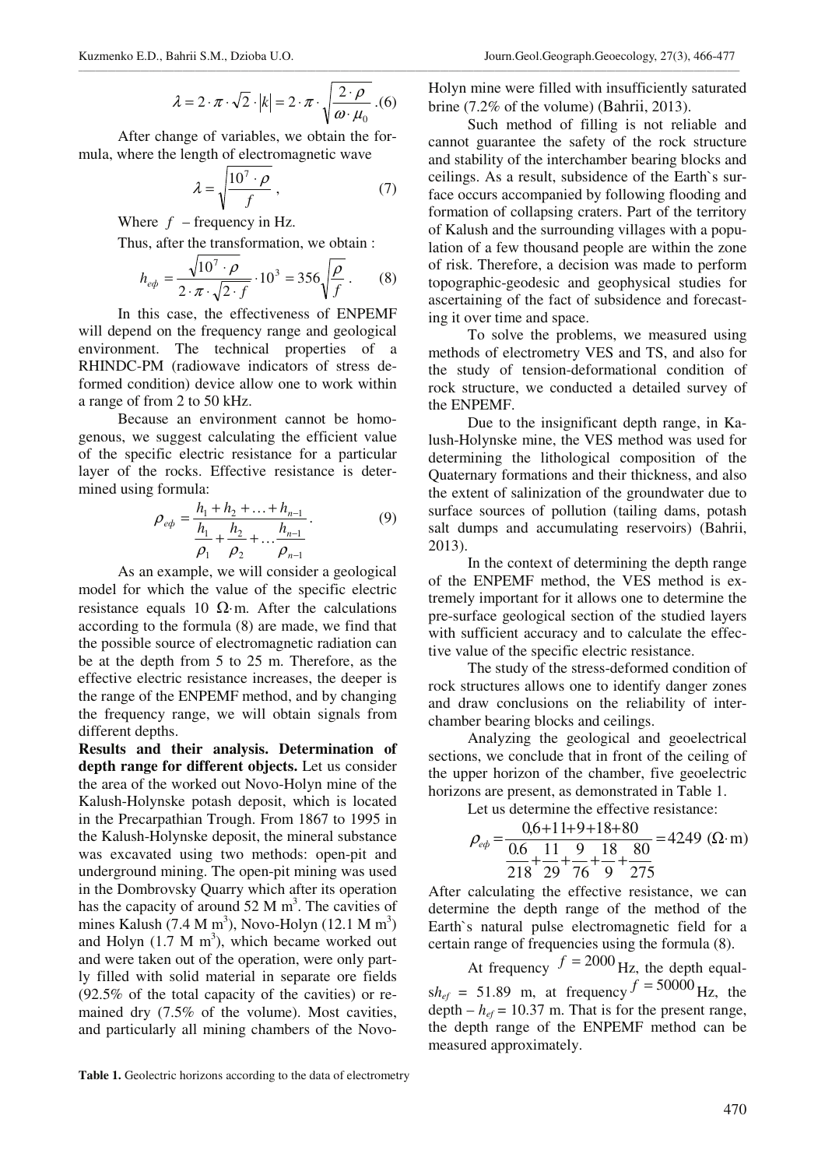$$
\lambda = 2 \cdot \pi \cdot \sqrt{2} \cdot |k| = 2 \cdot \pi \cdot \sqrt{\frac{2 \cdot \rho}{\omega \cdot \mu_0}} \cdot (6)
$$

\_\_\_\_\_\_\_\_\_\_\_\_\_\_\_\_\_\_\_\_\_\_\_\_\_\_\_\_\_\_\_\_\_\_\_\_\_\_\_\_\_\_\_\_\_\_\_\_\_\_\_\_\_\_\_\_\_\_\_\_\_\_\_\_\_\_\_\_\_\_\_\_\_\_\_\_\_\_\_\_\_\_\_\_\_\_\_\_\_\_\_\_\_\_\_\_\_\_\_\_\_\_\_\_\_\_\_\_\_\_\_\_\_\_\_\_\_\_\_\_\_\_\_\_\_\_\_\_\_\_\_\_\_\_\_\_\_\_\_\_\_\_\_\_\_\_\_\_\_\_\_\_\_\_\_\_\_\_\_

After change of variables, we obtain the formula, where the length of electromagnetic wave

$$
\lambda = \sqrt{\frac{10^7 \cdot \rho}{f}},\tag{7}
$$

Where  $f$  – frequency in Hz.

Thus, after the transformation, we obtain :

$$
h_{eq} = \frac{\sqrt{10^7 \cdot \rho}}{2 \cdot \pi \cdot \sqrt{2 \cdot f}} \cdot 10^3 = 356 \sqrt{\frac{\rho}{f}}.
$$
 (8)

In this case, the effectiveness of ENPEMF will depend on the frequency range and geological environment. The technical properties of a RHINDC-PM (radiowave indicators of stress deformed condition) device allow one to work within a range of from 2 to 50 kHz.

Because an environment cannot be homogenous, we suggest calculating the efficient value of the specific electric resistance for a particular layer of the rocks. Effective resistance is determined using formula:

$$
\rho_{eq} = \frac{h_1 + h_2 + \dots + h_{n-1}}{h_1 + h_2 + \dots + h_{n-1}}.
$$
\n(9)

As an example, we will consider a geological model for which the value of the specific electric resistance equals 10  $\Omega$ ·m. After the calculations according to the formula (8) are made, we find that the possible source of electromagnetic radiation can be at the depth from 5 to 25 m. Therefore, as the effective electric resistance increases, the deeper is the range of the ENPEMF method, and by changing the frequency range, we will obtain signals from different depths.

**Results and their analysis. Determination of depth range for different objects.** Let us consider the area of the worked out Novo-Holyn mine of the Kalush-Holynske potash deposit, which is located in the Precarpathian Trough. From 1867 to 1995 in the Kalush-Holynske deposit, the mineral substance was excavated using two methods: open-pit and underground mining. The open-pit mining was used in the Dombrovsky Quarry which after its operation has the capacity of around  $52 \text{ M m}^3$ . The cavities of mines Kalush (7.4 M m<sup>3</sup>), Novo-Holyn (12.1 M m<sup>3</sup>) and Holyn  $(1.7 \text{ M m}^3)$ , which became worked out and were taken out of the operation, were only partly filled with solid material in separate ore fields (92.5% of the total capacity of the cavities) or remained dry (7.5% of the volume). Most cavities, and particularly all mining chambers of the NovoHolyn mine were filled with insufficiently saturated brine (7.2% of the volume) (Bahrii, 2013).

Such method of filling is not reliable and cannot guarantee the safety of the rock structure and stability of the interchamber bearing blocks and ceilings. As a result, subsidence of the Earth`s surface occurs accompanied by following flooding and formation of collapsing craters. Part of the territory of Kalush and the surrounding villages with a population of a few thousand people are within the zone of risk. Therefore, a decision was made to perform topographic-geodesic and geophysical studies for ascertaining of the fact of subsidence and forecasting it over time and space.

To solve the problems, we measured using methods of electrometry VES and TS, and also for the study of tension-deformational condition of rock structure, we conducted a detailed survey of the ENPEMF.

Due to the insignificant depth range, in Kalush-Holynske mine, the VES method was used for determining the lithological composition of the Quaternary formations and their thickness, and also the extent of salinization of the groundwater due to surface sources of pollution (tailing dams, potash salt dumps and accumulating reservoirs) (Bahrii, 2013).

In the context of determining the depth range of the ENPEMF method, the VES method is extremely important for it allows one to determine the pre-surface geological section of the studied layers with sufficient accuracy and to calculate the effective value of the specific electric resistance.

The study of the stress-deformed condition of rock structures allows one to identify danger zones and draw conclusions on the reliability of interchamber bearing blocks and ceilings.

Analyzing the geological and geoelectrical sections, we conclude that in front of the ceiling of the upper horizon of the chamber, five geoelectric horizons are present, as demonstrated in Table 1.

Let us determine the effective resistance:

$$
\rho_{eq} = \frac{0.6 + 11 + 9 + 18 + 80}{\frac{0.6}{218} + \frac{11}{29} + \frac{9}{76} + \frac{18}{9} + \frac{80}{275}} = 4249 \text{ } (\Omega \cdot \text{m})
$$

After calculating the effective resistance, we can determine the depth range of the method of the Earth`s natural pulse electromagnetic field for a certain range of frequencies using the formula (8).

At frequency  $f = 2000$  Hz, the depth equal $sh_{ef}$  = 51.89 m, at frequency  $f = 50000$  Hz, the depth  $-h_{ef}$  = 10.37 m. That is for the present range, the depth range of the ENPEMF method can be measured approximately.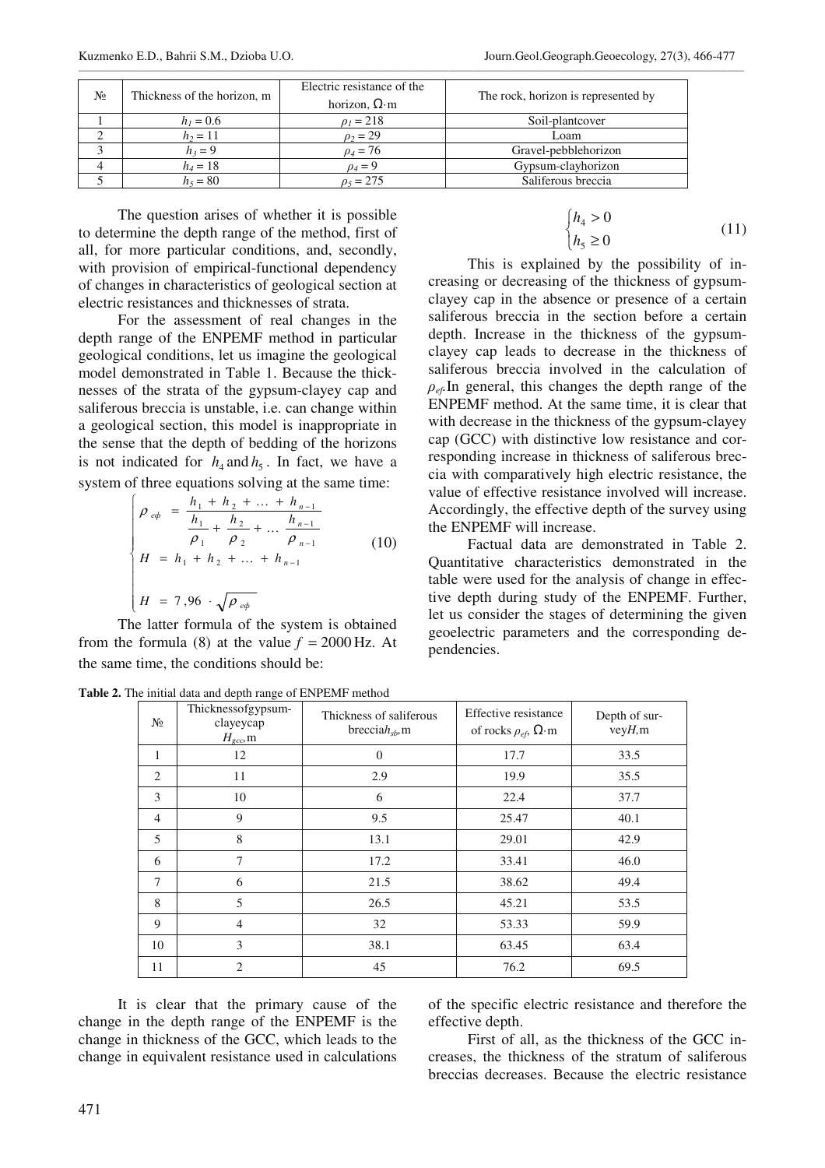| N <sub>2</sub> | Thickness of the horizon, m | Electric resistance of the<br>horizon, $\Omega$ ·m | The rock, horizon is represented by |
|----------------|-----------------------------|----------------------------------------------------|-------------------------------------|
|                | $h_1 = 0.6$                 | $\rho_1 = 218$                                     | Soil-plantcover                     |
|                | $h_2 = 11$                  | $\rho_2 = 29$                                      | Loam                                |
|                | $h_3 = 9$                   | $\rho_4 = 76$                                      | Gravel-pebblehorizon                |
|                | $h_4 = 18$                  | $\rho_4=9$                                         | Gypsum-clayhorizon                  |
|                | $h_{5} = 80$                | $v_5 = 275$                                        | Saliferous breccia                  |

\_\_\_\_\_\_\_\_\_\_\_\_\_\_\_\_\_\_\_\_\_\_\_\_\_\_\_\_\_\_\_\_\_\_\_\_\_\_\_\_\_\_\_\_\_\_\_\_\_\_\_\_\_\_\_\_\_\_\_\_\_\_\_\_\_\_\_\_\_\_\_\_\_\_\_\_\_\_\_\_\_\_\_\_\_\_\_\_\_\_\_\_\_\_\_\_\_\_\_\_\_\_\_\_\_\_\_\_\_\_\_\_\_\_\_\_\_\_\_\_\_\_\_\_\_\_\_\_\_\_\_\_\_\_\_\_\_\_\_\_\_\_\_\_\_\_\_\_\_\_\_\_\_\_\_\_\_\_\_\_

The question arises of whether it is possible to determine the depth range of the method, first of all, for more particular conditions, and, secondly, with provision of empirical-functional dependency of changes in characteristics of geological section at electric resistances and thicknesses of strata.

For the assessment of real changes in the depth range of the ENPEMF method in particular geological conditions, let us imagine the geological model demonstrated in Table 1. Because the thicknesses of the strata of the gypsum-clayey cap and saliferous breccia is unstable, i.e. can change within a geological section, this model is inappropriate in the sense that the depth of bedding of the horizons is not indicated for  $h_4$  and  $h_5$ . In fact, we have a system of three equations solving at the same time:

$$
\begin{cases}\n\rho_{eq} = \frac{h_1 + h_2 + \dots + h_{n-1}}{\frac{h_1}{\rho_1} + \frac{h_2}{\rho_2} + \dots + \frac{h_{n-1}}{\rho_{n-1}}} \\
H = h_1 + h_2 + \dots + h_{n-1} \\
H = 7,96 \cdot \sqrt{\rho_{eq}}\n\end{cases} (10)
$$

The latter formula of the system is obtained from the formula (8) at the value  $f = 2000$  Hz. At the same time, the conditions should be:

**Table 2.** The initial data and depth range of ENPEMF method

$$
\begin{cases} h_4 > 0 \\ h_5 \ge 0 \end{cases} \tag{11}
$$

This is explained by the possibility of increasing or decreasing of the thickness of gypsumclayey cap in the absence or presence of a certain saliferous breccia in the section before a certain depth. Increase in the thickness of the gypsumclayey cap leads to decrease in the thickness of saliferous breccia involved in the calculation of  $\rho_{ef}$  In general, this changes the depth range of the ENPEMF method. At the same time, it is clear that with decrease in the thickness of the gypsum-clayey cap (GCC) with distinctive low resistance and corresponding increase in thickness of saliferous breccia with comparatively high electric resistance, the value of effective resistance involved will increase. Accordingly, the effective depth of the survey using the ENPEMF will increase.

Factual data are demonstrated in Table 2. Quantitative characteristics demonstrated in the table were used for the analysis of change in effective depth during study of the ENPEMF. Further, let us consider the stages of determining the given geoelectric parameters and the corresponding dependencies.

| N <sub>2</sub> | c.<br>Thicknessofgypsum-<br>clayeycap<br>$H_{\rm gcc}$ m | Thickness of saliferous<br>breccia $h_{sb}$ , m | Effective resistance<br>of rocks $\rho_{ef}$ , $\Omega$ ·m | Depth of sur-<br>veyH, m |
|----------------|----------------------------------------------------------|-------------------------------------------------|------------------------------------------------------------|--------------------------|
| 1              | 12                                                       | $\Omega$                                        | 17.7                                                       | 33.5                     |
| 2              | 11                                                       | 2.9                                             | 19.9                                                       | 35.5                     |
| 3              | 10                                                       | 6                                               | 22.4                                                       | 37.7                     |
| 4              | 9                                                        | 9.5                                             | 25.47                                                      | 40.1                     |
| 5              | 8                                                        | 13.1                                            | 29.01                                                      | 42.9                     |
| 6              | 7                                                        | 17.2                                            | 33.41                                                      | 46.0                     |
| 7              | 6                                                        | 21.5                                            | 38.62                                                      | 49.4                     |
| 8              | 5                                                        | 26.5                                            | 45.21                                                      | 53.5                     |
| 9              | $\overline{4}$                                           | 32                                              | 53.33                                                      | 59.9                     |
| 10             | 3                                                        | 38.1                                            | 63.45                                                      | 63.4                     |
| 11             | $\overline{c}$                                           | 45                                              | 76.2                                                       | 69.5                     |

It is clear that the primary cause of the change in the depth range of the ENPEMF is the change in thickness of the GCC, which leads to the change in equivalent resistance used in calculations of the specific electric resistance and therefore the effective depth.

First of all, as the thickness of the GCC increases, the thickness of the stratum of saliferous breccias decreases. Because the electric resistance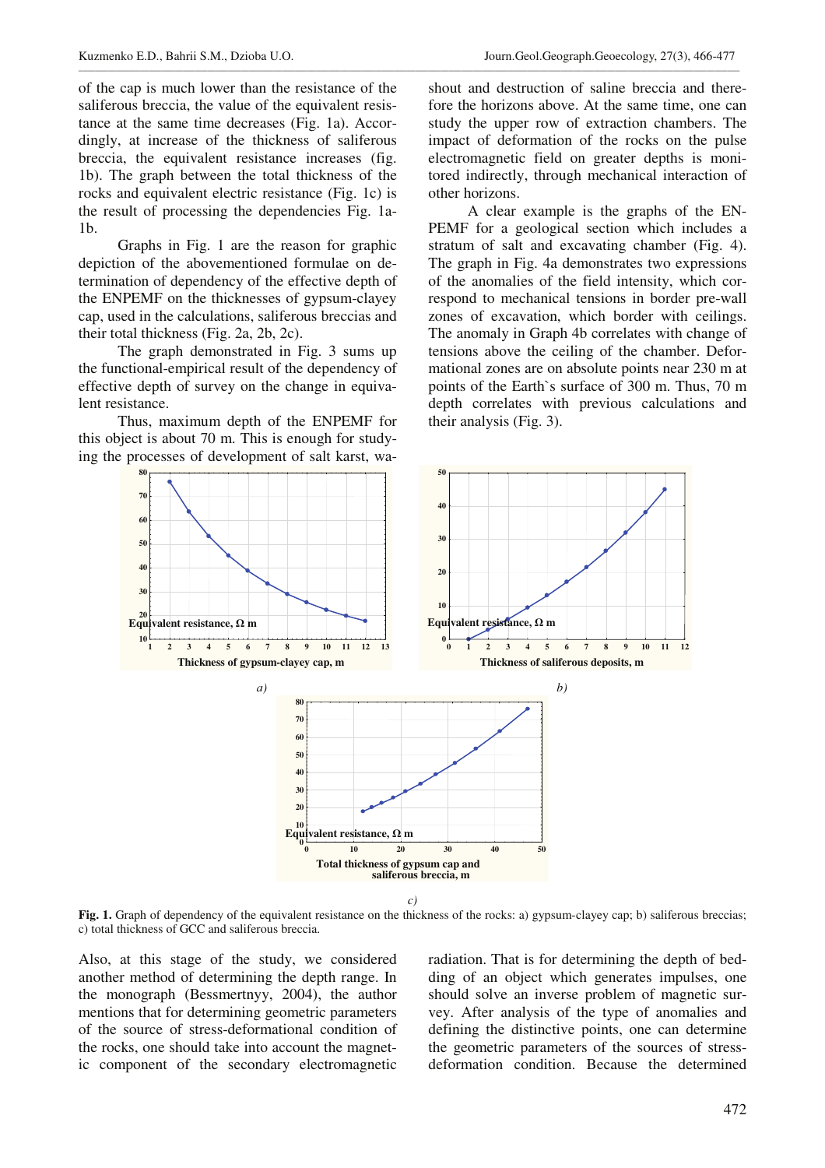of the cap is much lower than the resistance of the saliferous breccia, the value of the equivalent resistance at the same time decreases (Fig. 1a). Accordingly, at increase of the thickness of saliferous breccia, the equivalent resistance increases (fig. 1b). The graph between the total thickness of the rocks and equivalent electric resistance (Fig. 1c) is the result of processing the dependencies Fig. 1a-1b.

Graphs in Fig. 1 are the reason for graphic depiction of the abovementioned formulae on determination of dependency of the effective depth of the ENPEMF on the thicknesses of gypsum-clayey cap, used in the calculations, saliferous breccias and their total thickness (Fig. 2a, 2b, 2c).

The graph demonstrated in Fig. 3 sums up the functional-empirical result of the dependency of effective depth of survey on the change in equivalent resistance.

Thus, maximum depth of the ENPEMF for this object is about 70 m. This is enough for studying the processes of development of salt karst, washout and destruction of saline breccia and therefore the horizons above. At the same time, one can study the upper row of extraction chambers. The impact of deformation of the rocks on the pulse electromagnetic field on greater depths is monitored indirectly, through mechanical interaction of other horizons.

A clear example is the graphs of the EN-PEMF for a geological section which includes a stratum of salt and excavating chamber (Fig. 4). The graph in Fig. 4a demonstrates two expressions of the anomalies of the field intensity, which correspond to mechanical tensions in border pre-wall zones of excavation, which border with ceilings. The anomaly in Graph 4b correlates with change of tensions above the ceiling of the chamber. Deformational zones are on absolute points near 230 m at points of the Earth`s surface of 300 m. Thus, 70 m depth correlates with previous calculations and their analysis (Fig. 3).



\_\_\_\_\_\_\_\_\_\_\_\_\_\_\_\_\_\_\_\_\_\_\_\_\_\_\_\_\_\_\_\_\_\_\_\_\_\_\_\_\_\_\_\_\_\_\_\_\_\_\_\_\_\_\_\_\_\_\_\_\_\_\_\_\_\_\_\_\_\_\_\_\_\_\_\_\_\_\_\_\_\_\_\_\_\_\_\_\_\_\_\_\_\_\_\_\_\_\_\_\_\_\_\_\_\_\_\_\_\_\_\_\_\_\_\_\_\_\_\_\_\_\_\_\_\_\_\_\_\_\_\_\_\_\_\_\_\_\_\_\_\_\_\_\_\_\_\_\_\_\_\_\_\_\_\_\_\_\_

*c)* 

**Fig. 1.** Graph of dependency of the equivalent resistance on the thickness of the rocks: a) gypsum-clayey cap; b) saliferous breccias; c) total thickness of GCC and saliferous breccia.

Also, at this stage of the study, we considered another method of determining the depth range. In the monograph (Bessmertnyy, 2004), the author mentions that for determining geometric parameters of the source of stress-deformational condition of the rocks, one should take into account the magnetic component of the secondary electromagnetic radiation. That is for determining the depth of bedding of an object which generates impulses, one should solve an inverse problem of magnetic survey. After analysis of the type of anomalies and defining the distinctive points, one can determine the geometric parameters of the sources of stressdeformation condition. Because the determined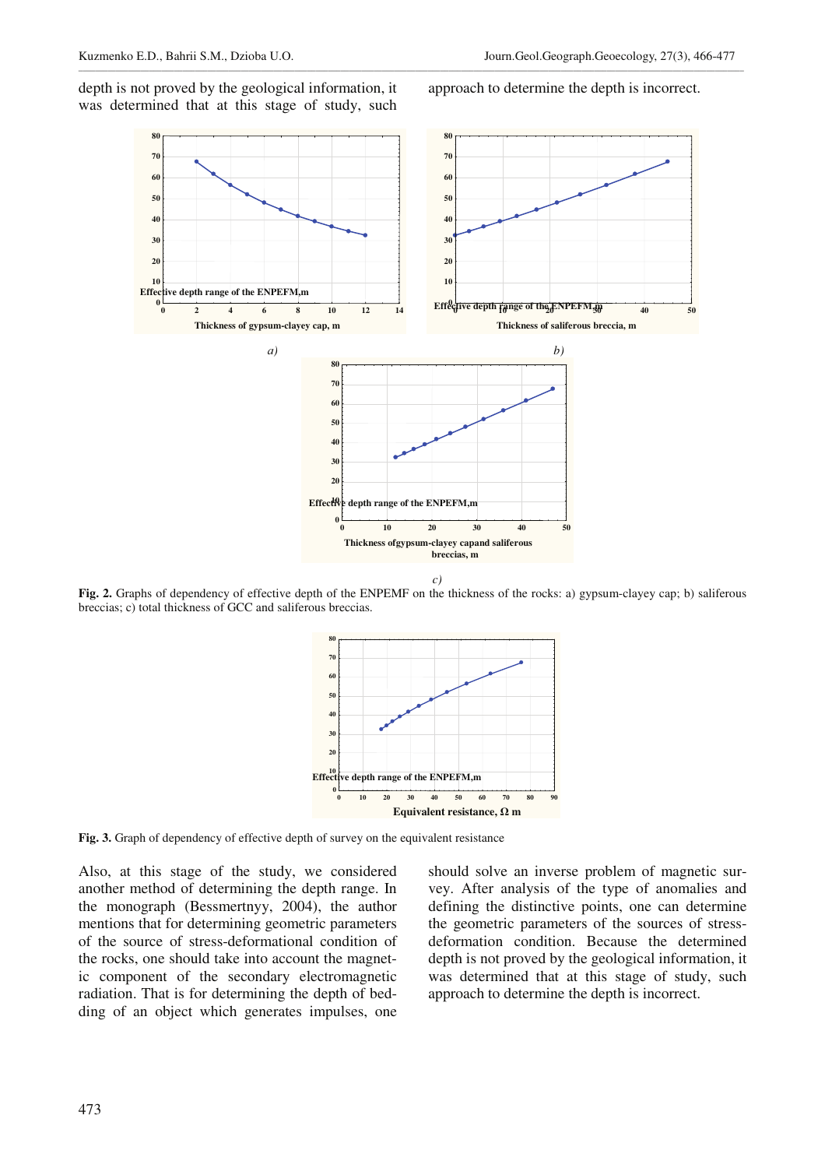depth is not proved by the geological information, it was determined that at this stage of study, such approach to determine the depth is incorrect.



\_\_\_\_\_\_\_\_\_\_\_\_\_\_\_\_\_\_\_\_\_\_\_\_\_\_\_\_\_\_\_\_\_\_\_\_\_\_\_\_\_\_\_\_\_\_\_\_\_\_\_\_\_\_\_\_\_\_\_\_\_\_\_\_\_\_\_\_\_\_\_\_\_\_\_\_\_\_\_\_\_\_\_\_\_\_\_\_\_\_\_\_\_\_\_\_\_\_\_\_\_\_\_\_\_\_\_\_\_\_\_\_\_\_\_\_\_\_\_\_\_\_\_\_\_\_\_\_\_\_\_\_\_\_\_\_\_\_\_\_\_\_\_\_\_\_\_\_\_\_\_\_\_\_\_\_\_\_\_\_

**Fig. 2.** Graphs of dependency of effective depth of the ENPEMF on the thickness of the rocks: a) gypsum-clayey cap; b) saliferous breccias; c) total thickness of GCC and saliferous breccias.



**Fig. 3.** Graph of dependency of effective depth of survey on the equivalent resistance

Also, at this stage of the study, we considered another method of determining the depth range. In the monograph (Bessmertnyy, 2004), the author mentions that for determining geometric parameters of the source of stress-deformational condition of the rocks, one should take into account the magnetic component of the secondary electromagnetic radiation. That is for determining the depth of bedding of an object which generates impulses, one should solve an inverse problem of magnetic survey. After analysis of the type of anomalies and defining the distinctive points, one can determine the geometric parameters of the sources of stressdeformation condition. Because the determined depth is not proved by the geological information, it was determined that at this stage of study, such approach to determine the depth is incorrect.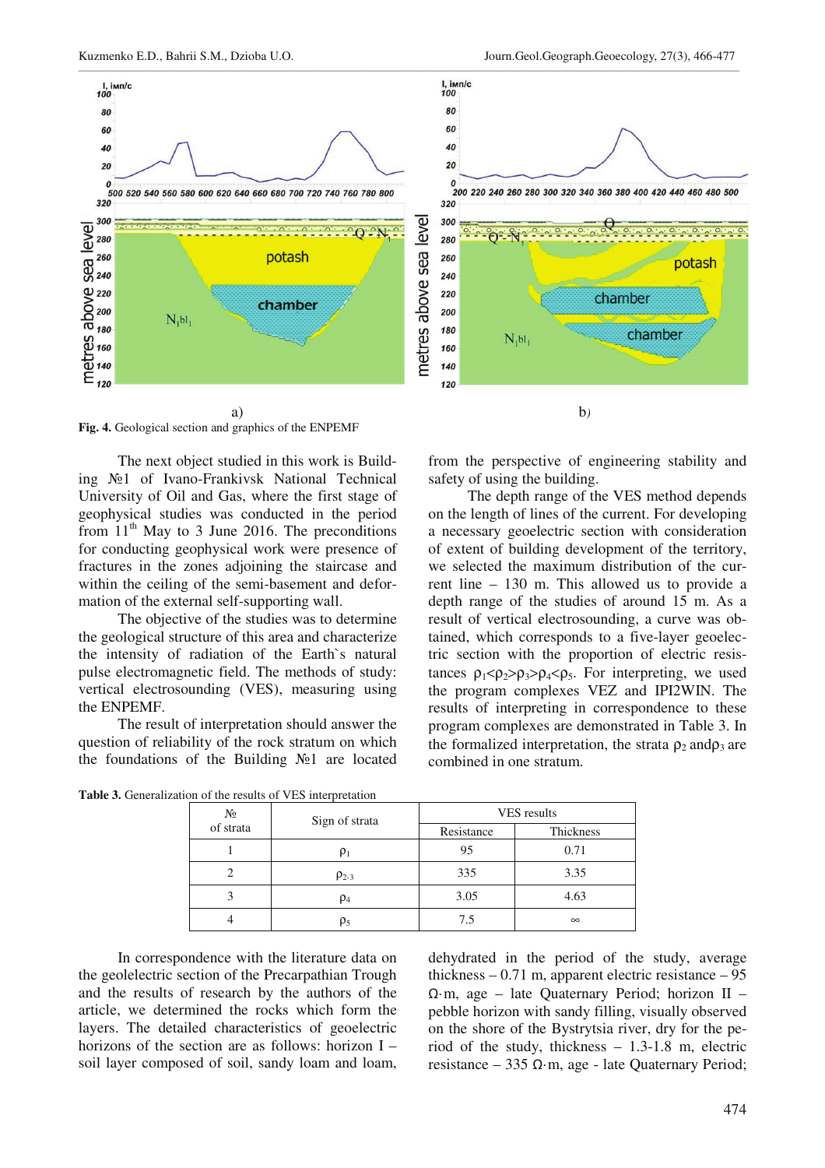

**Fig. 4.** Geological section and graphics of the ENPEMF

The next object studied in this work is Building No<sub>1</sub> of Ivano-Frankivsk National Technical University of Oil and Gas, where the first stage of geophysical studies was conducted in the period from  $11<sup>th</sup>$  May to 3 June 2016. The preconditions for conducting geophysical work were presence of fractures in the zones adjoining the staircase and within the ceiling of the semi-basement and deformation of the external self-supporting wall.

The objective of the studies was to determine the geological structure of this area and characterize the intensity of radiation of the Earth`s natural pulse electromagnetic field. The methods of study: vertical electrosounding (VES), measuring using the ENPEMF.

The result of interpretation should answer the question of reliability of the rock stratum on which the foundations of the Building  $N<sub>2</sub>1$  are located from the perspective of engineering stability and safety of using the building.

The depth range of the VES method depends on the length of lines of the current. For developing a necessary geoelectric section with consideration of extent of building development of the territory, we selected the maximum distribution of the current line – 130 m. This allowed us to provide a depth range of the studies of around 15 m. As a result of vertical electrosounding, a curve was obtained, which corresponds to a five-layer geoelectric section with the proportion of electric resistances  $\rho_1 < \rho_2 > \rho_3 > \rho_4 < \rho_5$ . For interpreting, we used the program complexes VEZ and IPI2WIN. The results of interpreting in correspondence to these program complexes are demonstrated in Table 3. In the formalized interpretation, the strata  $\rho_2$  and  $\rho_3$  are combined in one stratum.

| $\frac{\mathrm{N}\mathrm{Q}}{\mathrm{of\,strata}}$ | Sign of strata | VES results |           |
|----------------------------------------------------|----------------|-------------|-----------|
|                                                    |                | Resistance  | Thickness |
|                                                    | Ρ              | 95          | 0.71      |
|                                                    | $\rho_{2-3}$   | 335         | 3.35      |
|                                                    | $\rho_4$       | 3.05        | 4.63      |
|                                                    | $\rho_5$       | 7.5         | $\infty$  |

**Table 3.** Generalization of the results of VES interpretation

In correspondence with the literature data on the geolelectric section of the Precarpathian Trough and the results of research by the authors of the article, we determined the rocks which form the layers. The detailed characteristics of geoelectric horizons of the section are as follows: horizon I – soil layer composed of soil, sandy loam and loam, dehydrated in the period of the study, average thickness  $-0.71$  m, apparent electric resistance  $-95$  $\Omega$ ·m, age – late Quaternary Period; horizon II – pebble horizon with sandy filling, visually observed on the shore of the Bystrytsia river, dry for the period of the study, thickness – 1.3-1.8 m, electric resistance – 335  $\Omega$ ·m, age - late Quaternary Period;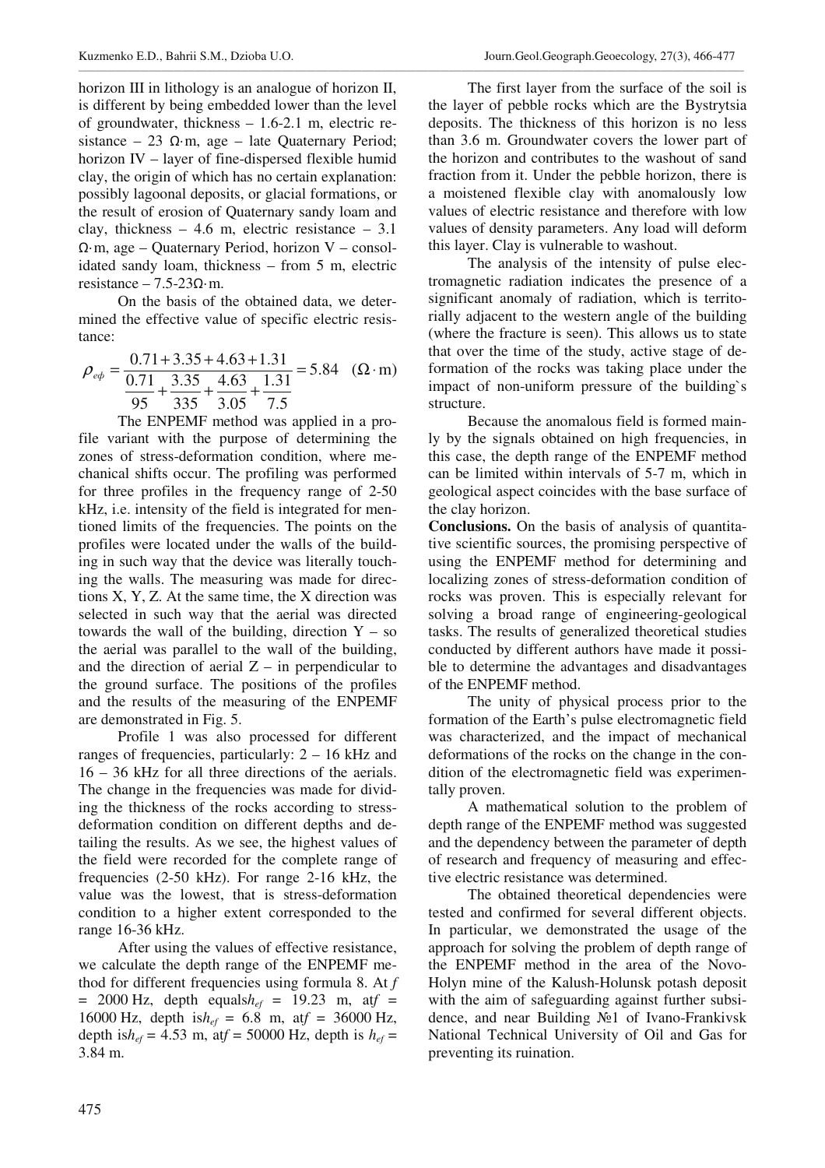horizon III in lithology is an analogue of horizon II, is different by being embedded lower than the level of groundwater, thickness – 1.6-2.1 m, electric resistance – 23  $\Omega$ ·m, age – late Quaternary Period; horizon IV – layer of fine-dispersed flexible humid clay, the origin of which has no certain explanation: possibly lagoonal deposits, or glacial formations, or the result of erosion of Quaternary sandy loam and clay, thickness  $-4.6$  m, electric resistance  $-3.1$  $\Omega$ ·m, age – Quaternary Period, horizon V – consolidated sandy loam, thickness – from 5 m, electric resistance –  $7.5-230 \cdot m$ .

On the basis of the obtained data, we determined the effective value of specific electric resistance:

$$
\rho_{\text{eq}} = \frac{0.71 + 3.35 + 4.63 + 1.31}{0.71 + 3.35 + 4.63 + 1.31} = 5.84 \quad (\Omega \cdot m)
$$
  

$$
\frac{0.71 + 3.35 + 4.63 + 1.31}{95 + 3.35 + 3.05 + 7.5} = 5.84 \quad (\Omega \cdot m)
$$

The ENPEMF method was applied in a profile variant with the purpose of determining the zones of stress-deformation condition, where mechanical shifts occur. The profiling was performed for three profiles in the frequency range of 2-50 kHz, i.e. intensity of the field is integrated for mentioned limits of the frequencies. The points on the profiles were located under the walls of the building in such way that the device was literally touching the walls. The measuring was made for directions X, Y, Z. At the same time, the X direction was selected in such way that the aerial was directed towards the wall of the building, direction  $Y - so$ the aerial was parallel to the wall of the building, and the direction of aerial  $Z$  – in perpendicular to the ground surface. The positions of the profiles and the results of the measuring of the ENPEMF are demonstrated in Fig. 5.

Profile 1 was also processed for different ranges of frequencies, particularly: 2 – 16 kHz and 16 – 36 kHz for all three directions of the aerials. The change in the frequencies was made for dividing the thickness of the rocks according to stressdeformation condition on different depths and detailing the results. As we see, the highest values of the field were recorded for the complete range of frequencies (2-50 kHz). For range 2-16 kHz, the value was the lowest, that is stress-deformation condition to a higher extent corresponded to the range 16-36 kHz.

After using the values of effective resistance, we calculate the depth range of the ENPEMF method for different frequencies using formula 8. At *f*  $= 2000$  Hz, depth equals $h_{ef} = 19.23$  m, at  $f =$ 16000 Hz, depth is $h_{ef} = 6.8$  m, at $f = 36000$  Hz, depth is $h_{ef}$  = 4.53 m, at $f$  = 50000 Hz, depth is  $h_{ef}$  = 3.84 m.

The first layer from the surface of the soil is the layer of pebble rocks which are the Bystrytsia deposits. The thickness of this horizon is no less than 3.6 m. Groundwater covers the lower part of the horizon and contributes to the washout of sand fraction from it. Under the pebble horizon, there is a moistened flexible clay with anomalously low values of electric resistance and therefore with low values of density parameters. Any load will deform this layer. Clay is vulnerable to washout.

The analysis of the intensity of pulse electromagnetic radiation indicates the presence of a significant anomaly of radiation, which is territorially adjacent to the western angle of the building (where the fracture is seen). This allows us to state that over the time of the study, active stage of deformation of the rocks was taking place under the impact of non-uniform pressure of the building`s structure.

Because the anomalous field is formed mainly by the signals obtained on high frequencies, in this case, the depth range of the ENPEMF method can be limited within intervals of 5-7 m, which in geological aspect coincides with the base surface of the clay horizon.

**Conclusions.** On the basis of analysis of quantitative scientific sources, the promising perspective of using the ENPEMF method for determining and localizing zones of stress-deformation condition of rocks was proven. This is especially relevant for solving a broad range of engineering-geological tasks. The results of generalized theoretical studies conducted by different authors have made it possible to determine the advantages and disadvantages of the ENPEMF method.

The unity of physical process prior to the formation of the Earth's pulse electromagnetic field was characterized, and the impact of mechanical deformations of the rocks on the change in the condition of the electromagnetic field was experimentally proven.

A mathematical solution to the problem of depth range of the ENPEMF method was suggested and the dependency between the parameter of depth of research and frequency of measuring and effective electric resistance was determined.

The obtained theoretical dependencies were tested and confirmed for several different objects. In particular, we demonstrated the usage of the approach for solving the problem of depth range of the ENPEMF method in the area of the Novo-Holyn mine of the Kalush-Holunsk potash deposit with the aim of safeguarding against further subsidence, and near Building No 1 of Ivano-Frankivsk National Technical University of Oil and Gas for preventing its ruination.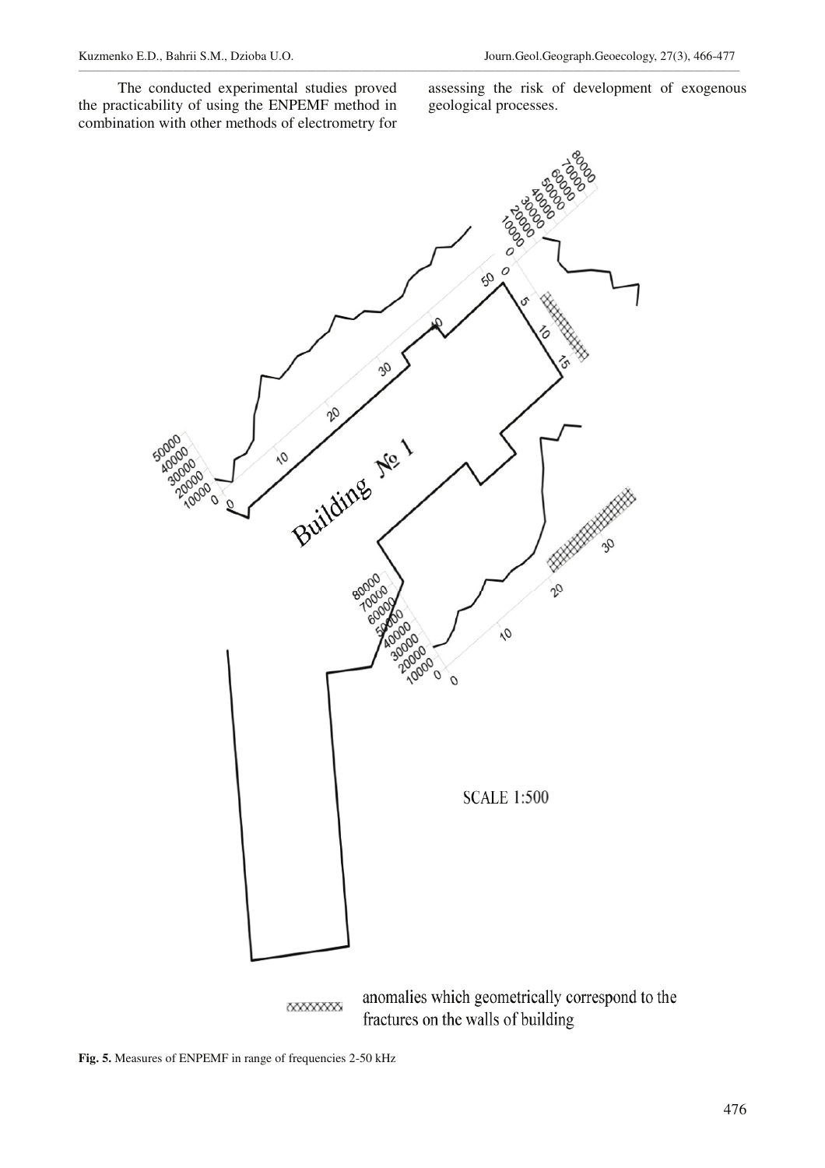The conducted experimental studies proved the practicability of using the ENPEMF method in combination with other methods of electrometry for assessing the risk of development of exogenous geological processes.



\_\_\_\_\_\_\_\_\_\_\_\_\_\_\_\_\_\_\_\_\_\_\_\_\_\_\_\_\_\_\_\_\_\_\_\_\_\_\_\_\_\_\_\_\_\_\_\_\_\_\_\_\_\_\_\_\_\_\_\_\_\_\_\_\_\_\_\_\_\_\_\_\_\_\_\_\_\_\_\_\_\_\_\_\_\_\_\_\_\_\_\_\_\_\_\_\_\_\_\_\_\_\_\_\_\_\_\_\_\_\_\_\_\_\_\_\_\_\_\_\_\_\_\_\_\_\_\_\_\_\_\_\_\_\_\_\_\_\_\_\_\_\_\_\_\_\_\_\_\_\_\_\_\_\_\_\_\_\_

**Fig. 5.** Measures of ENPEMF in range of frequencies 2-50 kHz